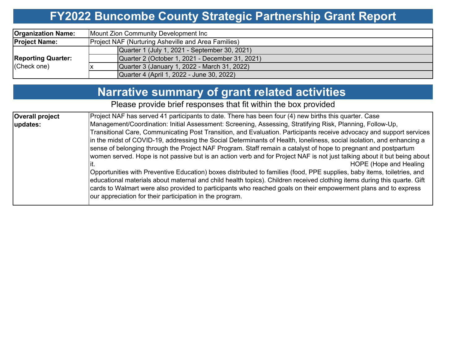# **FY2022 Buncombe County Strategic Partnership Grant Report**

| <b>Organization Name:</b> | Mount Zion Community Development Inc                |  |  |  |  |  |  |  |
|---------------------------|-----------------------------------------------------|--|--|--|--|--|--|--|
| <b>Project Name:</b>      | Project NAF (Nurturing Asheville and Area Families) |  |  |  |  |  |  |  |
|                           | Quarter 1 (July 1, 2021 - September 30, 2021)       |  |  |  |  |  |  |  |
| <b>Reporting Quarter:</b> | Quarter 2 (October 1, 2021 - December 31, 2021)     |  |  |  |  |  |  |  |
| (Check one)               | Quarter 3 (January 1, 2022 - March 31, 2022)        |  |  |  |  |  |  |  |
|                           | Quarter 4 (April 1, 2022 - June 30, 2022)           |  |  |  |  |  |  |  |

# **Narrative summary of grant related activities**

Please provide brief responses that fit within the box provided

| <b>Overall project</b> | Project NAF has served 41 participants to date. There has been four (4) new births this quarter. Case                    |
|------------------------|--------------------------------------------------------------------------------------------------------------------------|
| updates:               | Management/Coordination: Initial Assessment: Screening, Assessing, Stratifying Risk, Planning, Follow-Up,                |
|                        | Transitional Care, Communicating Post Transition, and Evaluation. Participants receive advocacy and support services     |
|                        | in the midst of COVID-19, addressing the Social Determinants of Health, loneliness, social isolation, and enhancing a    |
|                        | sense of belonging through the Project NAF Program. Staff remain a catalyst of hope to pregnant and postpartum           |
|                        | women served. Hope is not passive but is an action verb and for Project NAF is not just talking about it but being about |
|                        | HOPE (Hope and Healing                                                                                                   |
|                        | Opportunities with Preventive Education) boxes distributed to families (food, PPE supplies, baby items, toiletries, and  |
|                        | educational materials about maternal and child health topics). Children received clothing items during this quarte. Gift |
|                        | cards to Walmart were also provided to participants who reached goals on their empowerment plans and to express          |
|                        | our appreciation for their participation in the program.                                                                 |
|                        |                                                                                                                          |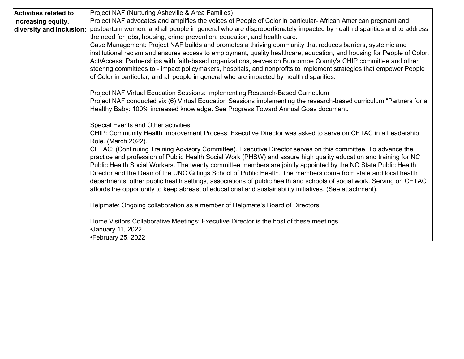| <b>Activities related to</b> | Project NAF (Nurturing Asheville & Area Families)                                                                                 |  |  |  |  |  |  |  |  |
|------------------------------|-----------------------------------------------------------------------------------------------------------------------------------|--|--|--|--|--|--|--|--|
| increasing equity,           | Project NAF advocates and amplifies the voices of People of Color in particular- African American pregnant and                    |  |  |  |  |  |  |  |  |
| diversity and inclusion:     | postpartum women, and all people in general who are disproportionately impacted by health disparities and to address              |  |  |  |  |  |  |  |  |
|                              | the need for jobs, housing, crime prevention, education, and health care.                                                         |  |  |  |  |  |  |  |  |
|                              | Case Management: Project NAF builds and promotes a thriving community that reduces barriers, systemic and                         |  |  |  |  |  |  |  |  |
|                              | institutional racism and ensures access to employment, quality healthcare, education, and housing for People of Color.            |  |  |  |  |  |  |  |  |
|                              | Act/Access: Partnerships with faith-based organizations, serves on Buncombe County's CHIP committee and other                     |  |  |  |  |  |  |  |  |
|                              | steering committees to - impact policymakers, hospitals, and nonprofits to implement strategies that empower People               |  |  |  |  |  |  |  |  |
|                              | of Color in particular, and all people in general who are impacted by health disparities.                                         |  |  |  |  |  |  |  |  |
|                              | Project NAF Virtual Education Sessions: Implementing Research-Based Curriculum                                                    |  |  |  |  |  |  |  |  |
|                              | Project NAF conducted six (6) Virtual Education Sessions implementing the research-based curriculum "Partners for a               |  |  |  |  |  |  |  |  |
|                              | Healthy Baby: 100% increased knowledge. See Progress Toward Annual Goas document.                                                 |  |  |  |  |  |  |  |  |
|                              | <b>Special Events and Other activities:</b>                                                                                       |  |  |  |  |  |  |  |  |
|                              | CHIP: Community Health Improvement Process: Executive Director was asked to serve on CETAC in a Leadership<br>Role. (March 2022). |  |  |  |  |  |  |  |  |
|                              | CETAC: (Continuing Training Advisory Committee). Executive Director serves on this committee. To advance the                      |  |  |  |  |  |  |  |  |
|                              | practice and profession of Public Health Social Work (PHSW) and assure high quality education and training for NC                 |  |  |  |  |  |  |  |  |
|                              | Public Health Social Workers. The twenty committee members are jointly appointed by the NC State Public Health                    |  |  |  |  |  |  |  |  |
|                              | Director and the Dean of the UNC Gillings School of Public Health. The members come from state and local health                   |  |  |  |  |  |  |  |  |
|                              | departments, other public health settings, associations of public health and schools of social work. Serving on CETAC             |  |  |  |  |  |  |  |  |
|                              | affords the opportunity to keep abreast of educational and sustainability initiatives. (See attachment).                          |  |  |  |  |  |  |  |  |
|                              | Helpmate: Ongoing collaboration as a member of Helpmate's Board of Directors.                                                     |  |  |  |  |  |  |  |  |
|                              | Home Visitors Collaborative Meetings: Executive Director is the host of these meetings                                            |  |  |  |  |  |  |  |  |
|                              | •January 11, 2022.                                                                                                                |  |  |  |  |  |  |  |  |
|                              | •February 25, 2022                                                                                                                |  |  |  |  |  |  |  |  |
|                              |                                                                                                                                   |  |  |  |  |  |  |  |  |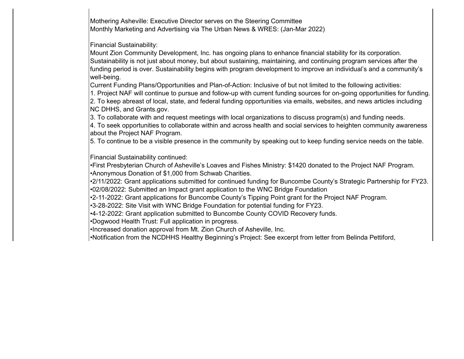Mothering Asheville: Executive Director serves on the Steering Committee Monthly Marketing and Advertising via The Urban News & WRES: (Jan-Mar 2022)

Financial Sustainability:

Mount Zion Community Development, Inc. has ongoing plans to enhance financial stability for its corporation. Sustainability is not just about money, but about sustaining, maintaining, and continuing program services after the funding period is over. Sustainability begins with program development to improve an individual's and a community's well-being.

Current Funding Plans/Opportunities and Plan-of-Action: Inclusive of but not limited to the following activities:

1. Project NAF will continue to pursue and follow-up with current funding sources for on-going opportunities for funding. 2. To keep abreast of local, state, and federal funding opportunities via emails, websites, and news articles including NC DHHS, and Grants.gov.

3. To collaborate with and request meetings with local organizations to discuss program(s) and funding needs.

4. To seek opportunities to collaborate within and across health and social services to heighten community awareness about the Project NAF Program.

5. To continue to be a visible presence in the community by speaking out to keep funding service needs on the table.

Financial Sustainability continued:

•First Presbyterian Church of Asheville's Loaves and Fishes Ministry: \$1420 donated to the Project NAF Program. •Anonymous Donation of \$1,000 from Schwab Charities.

•2/11/2022: Grant applications submitted for continued funding for Buncombe County's Strategic Partnership for FY23. •02/08/2022: Submitted an Impact grant application to the WNC Bridge Foundation

•2-11-2022: Grant applications for Buncombe County's Tipping Point grant for the Project NAF Program.

•3-28-2022: Site Visit with WNC Bridge Foundation for potential funding for FY23.

•4-12-2022: Grant application submitted to Buncombe County COVID Recovery funds.

•Dogwood Health Trust: Full application in progress.

•Increased donation approval from Mt. Zion Church of Asheville, Inc.

•Notification from the NCDHHS Healthy Beginning's Project: See excerpt from letter from Belinda Pettiford,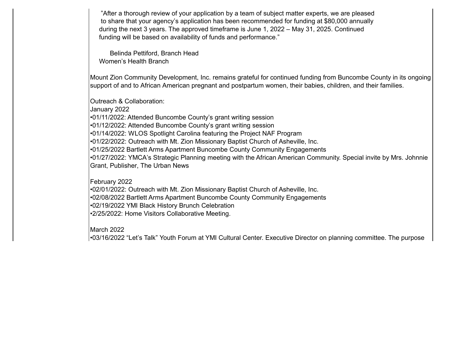"After a thorough review of your application by a team of subject matter experts, we are pleased to share that your agency's application has been recommended for funding at \$80,000 annually during the next 3 years. The approved timeframe is June 1, 2022 – May 31, 2025. Continued funding will be based on availability of funds and performance."

 Belinda Pettiford, Branch Head Women's Health Branch

Mount Zion Community Development, Inc. remains grateful for continued funding from Buncombe County in its ongoing support of and to African American pregnant and postpartum women, their babies, children, and their families.

Outreach & Collaboration: January 2022 •01/11/2022: Attended Buncombe County's grant writing session •01/12/2022: Attended Buncombe County's grant writing session •01/14/2022: WLOS Spotlight Carolina featuring the Project NAF Program •01/22/2022: Outreach with Mt. Zion Missionary Baptist Church of Asheville, Inc. •01/25/2022 Bartlett Arms Apartment Buncombe County Community Engagements •01/27/2022: YMCA's Strategic Planning meeting with the African American Community. Special invite by Mrs. Johnnie Grant, Publisher, The Urban News

February 2022

•02/01/2022: Outreach with Mt. Zion Missionary Baptist Church of Asheville, Inc. •02/08/2022 Bartlett Arms Apartment Buncombe County Community Engagements •02/19/2022 YMI Black History Brunch Celebration •2/25/2022: Home Visitors Collaborative Meeting.

March 2022•03/16/2022 "Let's Talk" Youth Forum at YMI Cultural Center. Executive Director on plannin g committee. The purpose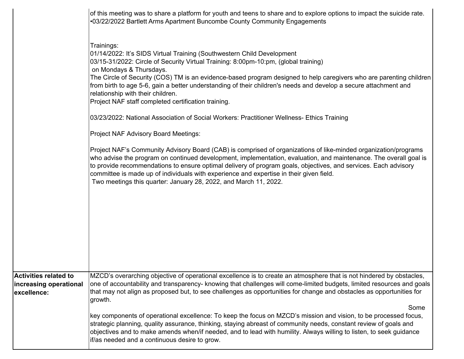|                                       | of this meeting was to share a platform for youth and teens to share and to explore options to impact the suicide rate.<br>.03/22/2022 Bartlett Arms Apartment Buncombe County Community Engagements                                                                                                                                                                                                                                                                                                                                           |  |  |  |  |  |  |  |  |
|---------------------------------------|------------------------------------------------------------------------------------------------------------------------------------------------------------------------------------------------------------------------------------------------------------------------------------------------------------------------------------------------------------------------------------------------------------------------------------------------------------------------------------------------------------------------------------------------|--|--|--|--|--|--|--|--|
|                                       | Trainings:<br>[01/14/2022: It's SIDS Virtual Training (Southwestern Child Development<br>03/15-31/2022: Circle of Security Virtual Training: 8:00pm-10:pm, (global training)<br>on Mondays & Thursdays.<br>The Circle of Security (COS) TM is an evidence-based program designed to help caregivers who are parenting children<br>from birth to age 5-6, gain a better understanding of their children's needs and develop a secure attachment and<br>relationship with their children.<br>Project NAF staff completed certification training. |  |  |  |  |  |  |  |  |
|                                       | 03/23/2022: National Association of Social Workers: Practitioner Wellness- Ethics Training                                                                                                                                                                                                                                                                                                                                                                                                                                                     |  |  |  |  |  |  |  |  |
|                                       | Project NAF Advisory Board Meetings:                                                                                                                                                                                                                                                                                                                                                                                                                                                                                                           |  |  |  |  |  |  |  |  |
|                                       | Project NAF's Community Advisory Board (CAB) is comprised of organizations of like-minded organization/programs<br>who advise the program on continued development, implementation, evaluation, and maintenance. The overall goal is<br>to provide recommendations to ensure optimal delivery of program goals, objectives, and services. Each advisory<br>committee is made up of individuals with experience and expertise in their given field.<br>Two meetings this quarter: January 28, 2022, and March 11, 2022.                         |  |  |  |  |  |  |  |  |
| <b>Activities related to</b>          | MZCD's overarching objective of operational excellence is to create an atmosphere that is not hindered by obstacles,                                                                                                                                                                                                                                                                                                                                                                                                                           |  |  |  |  |  |  |  |  |
| increasing operational<br>excellence: | one of accountability and transparency- knowing that challenges will come-limited budgets, limited resources and goals<br>that may not align as proposed but, to see challenges as opportunities for change and obstacles as opportunities for<br>growth.<br>Some                                                                                                                                                                                                                                                                              |  |  |  |  |  |  |  |  |
|                                       | key components of operational excellence: To keep the focus on MZCD's mission and vision, to be processed focus,<br>strategic planning, quality assurance, thinking, staying abreast of community needs, constant review of goals and<br>objectives and to make amends when/if needed, and to lead with humility. Always willing to listen, to seek guidance<br>if/as needed and a continuous desire to grow.                                                                                                                                  |  |  |  |  |  |  |  |  |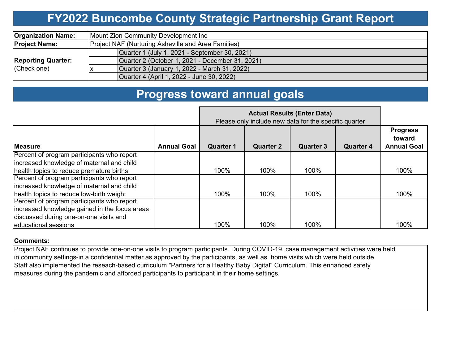# **FY2022 Buncombe County Strategic Partnership Grant Report**

| <b>Organization Name:</b>                | Mount Zion Community Development Inc                |  |  |  |  |  |  |  |
|------------------------------------------|-----------------------------------------------------|--|--|--|--|--|--|--|
| <b>Project Name:</b>                     | Project NAF (Nurturing Asheville and Area Families) |  |  |  |  |  |  |  |
|                                          | Quarter 1 (July 1, 2021 - September 30, 2021)       |  |  |  |  |  |  |  |
| <b>Reporting Quarter:</b><br>(Check one) | Quarter 2 (October 1, 2021 - December 31, 2021)     |  |  |  |  |  |  |  |
|                                          | Quarter 3 (January 1, 2022 - March 31, 2022)        |  |  |  |  |  |  |  |
|                                          | Quarter 4 (April 1, 2022 - June 30, 2022)           |  |  |  |  |  |  |  |

### **Progress toward annual goals**

|                                               |                    | Please only include new data for the specific quarter |                  |                  |                  |                                                 |
|-----------------------------------------------|--------------------|-------------------------------------------------------|------------------|------------------|------------------|-------------------------------------------------|
| <b>Measure</b>                                | <b>Annual Goal</b> | <b>Quarter 1</b>                                      | <b>Quarter 2</b> | <b>Quarter 3</b> | <b>Quarter 4</b> | <b>Progress</b><br>toward<br><b>Annual Goal</b> |
| Percent of program participants who report    |                    |                                                       |                  |                  |                  |                                                 |
| increased knowledge of maternal and child     |                    |                                                       |                  |                  |                  |                                                 |
| health topics to reduce premature births      |                    | 100%                                                  | 100%             | 100%             |                  | 100%                                            |
| Percent of program participants who report    |                    |                                                       |                  |                  |                  |                                                 |
| increased knowledge of maternal and child     |                    |                                                       |                  |                  |                  |                                                 |
| health topics to reduce low-birth weight      |                    | 100%                                                  | 100%             | 100%             |                  | 100%                                            |
| Percent of program participants who report    |                    |                                                       |                  |                  |                  |                                                 |
| increased knowledge gained in the focus areas |                    |                                                       |                  |                  |                  |                                                 |
| discussed during one-on-one visits and        |                    |                                                       |                  |                  |                  |                                                 |
| educational sessions                          |                    | 100%                                                  | 100%             | 100%             |                  | 100%                                            |

#### **Comments:**

Project NAF continues to provide one-on-one visits to program participants. During COVID-19, case management activities were held in community settings-in a confidential matter as approved by the participants, as well as home visits which were held outside. Staff also implemented the reseach-based curriculum "Partners for a Healthy Baby Digital" Curriculum. This enhanced safety measures during the pandemic and afforded participants to participant in their home settings.